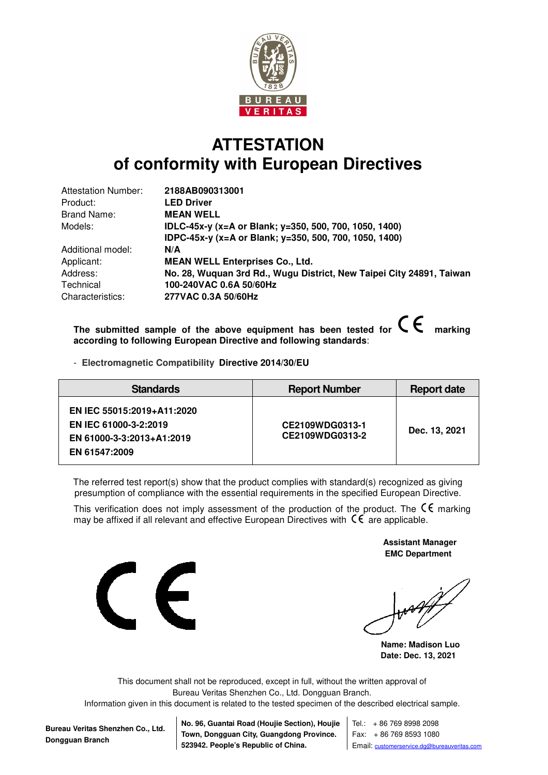

## **ATTESTATION of conformity with European Directives**

| 2188AB090313001                                                      |
|----------------------------------------------------------------------|
| <b>LED Driver</b>                                                    |
| <b>MEAN WELL</b>                                                     |
| IDLC-45x-y (x=A or Blank; y=350, 500, 700, 1050, 1400)               |
| IDPC-45x-y (x=A or Blank; y=350, 500, 700, 1050, 1400)               |
| N/A                                                                  |
| <b>MEAN WELL Enterprises Co., Ltd.</b>                               |
| No. 28, Wuquan 3rd Rd., Wugu District, New Taipei City 24891, Taiwan |
| 100-240VAC 0.6A 50/60Hz                                              |
| 277VAC 0.3A 50/60Hz                                                  |
|                                                                      |

The submitted sample of the above equipment has been tested for  $\mathsf{C}\,\mathsf{C}$  marking **according to following European Directive and following standards**:

- **Electromagnetic Compatibility Directive 2014/30/EU**

| <b>Standards</b>                                                                                  | <b>Report Number</b>               | <b>Report date</b> |
|---------------------------------------------------------------------------------------------------|------------------------------------|--------------------|
| EN IEC 55015:2019+A11:2020<br>EN IEC 61000-3-2:2019<br>EN 61000-3-3:2013+A1:2019<br>EN 61547:2009 | CE2109WDG0313-1<br>CE2109WDG0313-2 | Dec. 13, 2021      |

The referred test report(s) show that the product complies with standard(s) recognized as giving presumption of compliance with the essential requirements in the specified European Directive.

This verification does not imply assessment of the production of the product. The  $\mathsf{C}\mathsf{E}$  marking may be affixed if all relevant and effective European Directives with  $\mathsf{C}\mathsf{C}$  are applicable.



 **Assistant Manager EMC Department** 

**Name: Madison Luo Date: Dec. 13, 2021** 

This document shall not be reproduced, except in full, without the written approval of Bureau Veritas Shenzhen Co., Ltd. Dongguan Branch.

Information given in this document is related to the tested specimen of the described electrical sample.

**Bureau Veritas Shenzhen Co., Ltd. Dongguan Branch**

**No. 96, Guantai Road (Houjie Section), Houjie Town, Dongguan City, Guangdong Province. 523942. People's Republic of China.**

Tel.: + 86 769 8998 2098 Fax: + 86 769 8593 1080 Email: customerservice.dg@bureauveritas.com